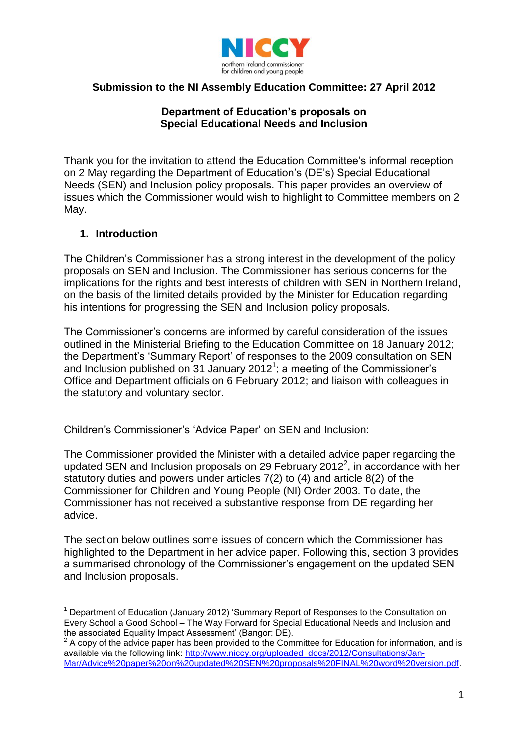

# **Submission to the NI Assembly Education Committee: 27 April 2012**

## **Department of Education's proposals on Special Educational Needs and Inclusion**

Thank you for the invitation to attend the Education Committee's informal reception on 2 May regarding the Department of Education's (DE's) Special Educational Needs (SEN) and Inclusion policy proposals. This paper provides an overview of issues which the Commissioner would wish to highlight to Committee members on 2 May.

#### **1. Introduction**

The Children's Commissioner has a strong interest in the development of the policy proposals on SEN and Inclusion. The Commissioner has serious concerns for the implications for the rights and best interests of children with SEN in Northern Ireland, on the basis of the limited details provided by the Minister for Education regarding his intentions for progressing the SEN and Inclusion policy proposals.

The Commissioner's concerns are informed by careful consideration of the issues outlined in the Ministerial Briefing to the Education Committee on 18 January 2012; the Department's 'Summary Report' of responses to the 2009 consultation on SEN and Inclusion published on 31 January 2012<sup>1</sup>; a meeting of the Commissioner's Office and Department officials on 6 February 2012; and liaison with colleagues in the statutory and voluntary sector.

Children's Commissioner's 'Advice Paper' on SEN and Inclusion:

The Commissioner provided the Minister with a detailed advice paper regarding the updated SEN and Inclusion proposals on 29 February 2012 $^2$ , in accordance with her statutory duties and powers under articles 7(2) to (4) and article 8(2) of the Commissioner for Children and Young People (NI) Order 2003. To date, the Commissioner has not received a substantive response from DE regarding her advice.

The section below outlines some issues of concern which the Commissioner has highlighted to the Department in her advice paper. Following this, section 3 provides a summarised chronology of the Commissioner's engagement on the updated SEN and Inclusion proposals.

<sup>1</sup> Department of Education (January 2012) 'Summary Report of Responses to the Consultation on Every School a Good School – The Way Forward for Special Educational Needs and Inclusion and the associated Equality Impact Assessment' (Bangor: DE).<br><sup>2</sup> A copy of the advice paper has been provided to the Committee for Education for information, and is

available via the following link: [http://www.niccy.org/uploaded\\_docs/2012/Consultations/Jan-](http://www.niccy.org/uploaded_docs/2012/Consultations/Jan-Mar/Advice%20paper%20on%20updated%20SEN%20proposals%20FINAL%20word%20version.pdf)[Mar/Advice%20paper%20on%20updated%20SEN%20proposals%20FINAL%20word%20version.pdf.](http://www.niccy.org/uploaded_docs/2012/Consultations/Jan-Mar/Advice%20paper%20on%20updated%20SEN%20proposals%20FINAL%20word%20version.pdf)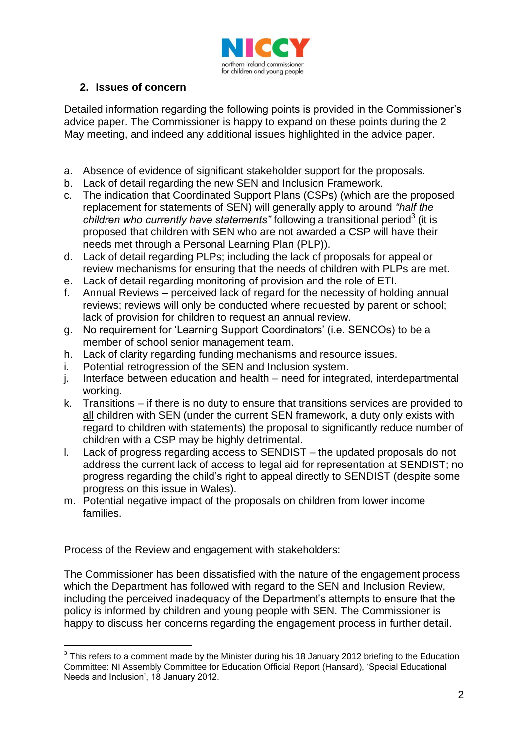

# **2. Issues of concern**

Detailed information regarding the following points is provided in the Commissioner's advice paper. The Commissioner is happy to expand on these points during the 2 May meeting, and indeed any additional issues highlighted in the advice paper.

- a. Absence of evidence of significant stakeholder support for the proposals.
- b. Lack of detail regarding the new SEN and Inclusion Framework.
- c. The indication that Coordinated Support Plans (CSPs) (which are the proposed replacement for statements of SEN) will generally apply to around *"half the*  children who currently have statements" following a transitional period<sup>3</sup> (it is proposed that children with SEN who are not awarded a CSP will have their needs met through a Personal Learning Plan (PLP)).
- d. Lack of detail regarding PLPs; including the lack of proposals for appeal or review mechanisms for ensuring that the needs of children with PLPs are met.
- e. Lack of detail regarding monitoring of provision and the role of ETI.
- f. Annual Reviews perceived lack of regard for the necessity of holding annual reviews; reviews will only be conducted where requested by parent or school; lack of provision for children to request an annual review.
- g. No requirement for 'Learning Support Coordinators' (i.e. SENCOs) to be a member of school senior management team.
- h. Lack of clarity regarding funding mechanisms and resource issues.
- i. Potential retrogression of the SEN and Inclusion system.
- j. Interface between education and health need for integrated, interdepartmental working.
- k. Transitions if there is no duty to ensure that transitions services are provided to all children with SEN (under the current SEN framework, a duty only exists with regard to children with statements) the proposal to significantly reduce number of children with a CSP may be highly detrimental.
- l. Lack of progress regarding access to SENDIST the updated proposals do not address the current lack of access to legal aid for representation at SENDIST; no progress regarding the child's right to appeal directly to SENDIST (despite some progress on this issue in Wales).
- m. Potential negative impact of the proposals on children from lower income families.

Process of the Review and engagement with stakeholders:

The Commissioner has been dissatisfied with the nature of the engagement process which the Department has followed with regard to the SEN and Inclusion Review, including the perceived inadequacy of the Department's attempts to ensure that the policy is informed by children and young people with SEN. The Commissioner is happy to discuss her concerns regarding the engagement process in further detail.

 $3$  This refers to a comment made by the Minister during his 18 January 2012 briefing to the Education Committee: NI Assembly Committee for Education Official Report (Hansard), 'Special Educational Needs and Inclusion', 18 January 2012.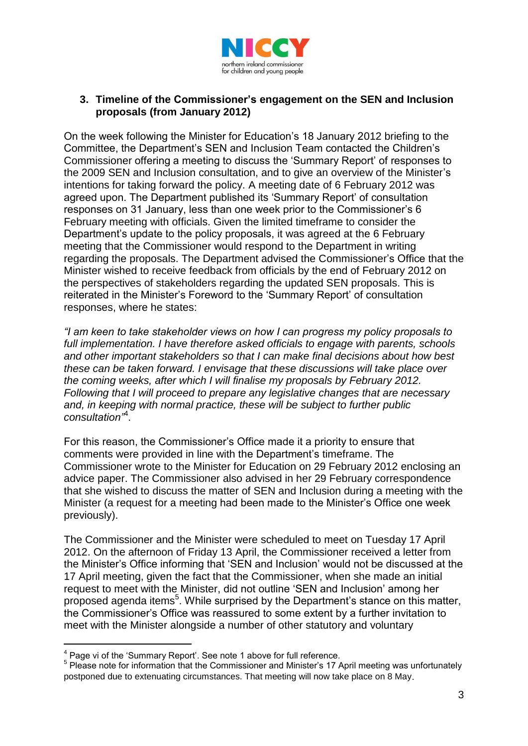

## **3. Timeline of the Commissioner's engagement on the SEN and Inclusion proposals (from January 2012)**

On the week following the Minister for Education's 18 January 2012 briefing to the Committee, the Department's SEN and Inclusion Team contacted the Children's Commissioner offering a meeting to discuss the 'Summary Report' of responses to the 2009 SEN and Inclusion consultation, and to give an overview of the Minister's intentions for taking forward the policy. A meeting date of 6 February 2012 was agreed upon. The Department published its 'Summary Report' of consultation responses on 31 January, less than one week prior to the Commissioner's 6 February meeting with officials. Given the limited timeframe to consider the Department's update to the policy proposals, it was agreed at the 6 February meeting that the Commissioner would respond to the Department in writing regarding the proposals. The Department advised the Commissioner's Office that the Minister wished to receive feedback from officials by the end of February 2012 on the perspectives of stakeholders regarding the updated SEN proposals. This is reiterated in the Minister's Foreword to the 'Summary Report' of consultation responses, where he states:

*"I am keen to take stakeholder views on how I can progress my policy proposals to full implementation. I have therefore asked officials to engage with parents, schools and other important stakeholders so that I can make final decisions about how best these can be taken forward. I envisage that these discussions will take place over the coming weeks, after which I will finalise my proposals by February 2012. Following that I will proceed to prepare any legislative changes that are necessary and, in keeping with normal practice, these will be subject to further public consultation"*<sup>4</sup> .

For this reason, the Commissioner's Office made it a priority to ensure that comments were provided in line with the Department's timeframe. The Commissioner wrote to the Minister for Education on 29 February 2012 enclosing an advice paper. The Commissioner also advised in her 29 February correspondence that she wished to discuss the matter of SEN and Inclusion during a meeting with the Minister (a request for a meeting had been made to the Minister's Office one week previously).

The Commissioner and the Minister were scheduled to meet on Tuesday 17 April 2012. On the afternoon of Friday 13 April, the Commissioner received a letter from the Minister's Office informing that 'SEN and Inclusion' would not be discussed at the 17 April meeting, given the fact that the Commissioner, when she made an initial request to meet with the Minister, did not outline 'SEN and Inclusion' among her proposed agenda items<sup>5</sup>. While surprised by the Department's stance on this matter, the Commissioner's Office was reassured to some extent by a further invitation to meet with the Minister alongside a number of other statutory and voluntary

 $4$  Page vi of the 'Summary Report'. See note 1 above for full reference.

<sup>&</sup>lt;sup>5</sup> Please note for information that the Commissioner and Minister's 17 April meeting was unfortunately postponed due to extenuating circumstances. That meeting will now take place on 8 May